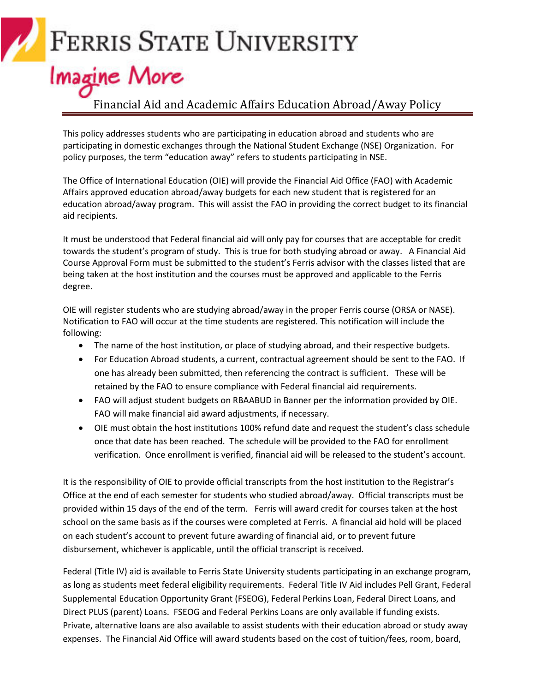## **FERRIS STATE UNIVERSITY**

## **Imagine More**

#### Financial Aid and Academic Affairs Education Abroad/Away Policy

This policy addresses students who are participating in education abroad and students who are participating in domestic exchanges through the National Student Exchange (NSE) Organization. For policy purposes, the term "education away" refers to students participating in NSE.

The Office of International Education (OIE) will provide the Financial Aid Office (FAO) with Academic Affairs approved education abroad/away budgets for each new student that is registered for an education abroad/away program. This will assist the FAO in providing the correct budget to its financial aid recipients.

It must be understood that Federal financial aid will only pay for courses that are acceptable for credit towards the student's program of study. This is true for both studying abroad or away. A Financial Aid Course Approval Form must be submitted to the student's Ferris advisor with the classes listed that are being taken at the host institution and the courses must be approved and applicable to the Ferris degree.

OIE will register students who are studying abroad/away in the proper Ferris course (ORSA or NASE). Notification to FAO will occur at the time students are registered. This notification will include the following:

- The name of the host institution, or place of studying abroad, and their respective budgets.
- For Education Abroad students, a current, contractual agreement should be sent to the FAO. If one has already been submitted, then referencing the contract is sufficient. These will be retained by the FAO to ensure compliance with Federal financial aid requirements.
- FAO will adjust student budgets on RBAABUD in Banner per the information provided by OIE. FAO will make financial aid award adjustments, if necessary.
- OIE must obtain the host institutions 100% refund date and request the student's class schedule once that date has been reached. The schedule will be provided to the FAO for enrollment verification. Once enrollment is verified, financial aid will be released to the student's account.

It is the responsibility of OIE to provide official transcripts from the host institution to the Registrar's Office at the end of each semester for students who studied abroad/away. Official transcripts must be provided within 15 days of the end of the term. Ferris will award credit for courses taken at the host school on the same basis as if the courses were completed at Ferris. A financial aid hold will be placed on each student's account to prevent future awarding of financial aid, or to prevent future disbursement, whichever is applicable, until the official transcript is received.

Federal (Title IV) aid is available to Ferris State University students participating in an exchange program, as long as students meet federal eligibility requirements. Federal Title IV Aid includes Pell Grant, Federal Supplemental Education Opportunity Grant (FSEOG), Federal Perkins Loan, Federal Direct Loans, and Direct PLUS (parent) Loans. FSEOG and Federal Perkins Loans are only available if funding exists. Private, alternative loans are also available to assist students with their education abroad or study away expenses. The Financial Aid Office will award students based on the cost of tuition/fees, room, board,